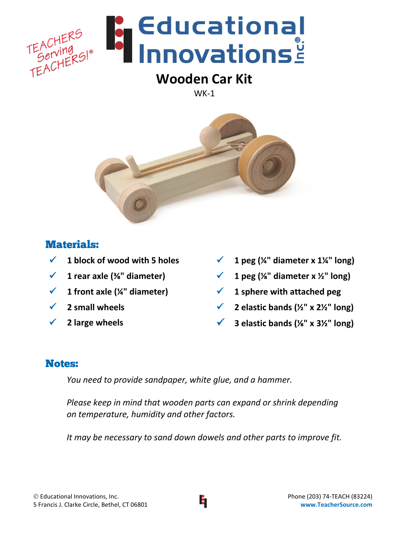

# **Wooden Car Kit**

WK-1



#### Materials:

- **1 block of wood with 5 holes**
- **1 rear axle (⅜" diameter)**
- **1 front axle (¼" diameter)**
- **2 small wheels**
- **2 large wheels**
- $\checkmark$  1 peg (¼" diameter x 1¼" long)
- $\checkmark$  1 peg ( $\frac{1}{8}$ " diameter x  $\frac{1}{2}$ " long)
- **1 sphere with attached peg**
- **2 elastic bands (½" x 2½" long)**
- **3 elastic bands (⅛" x 3½" long)**

### Notes:

*You need to provide sandpaper, white glue, and a hammer.*

*Please keep in mind that wooden parts can expand or shrink depending on temperature, humidity and other factors.* 

*It may be necessary to sand down dowels and other parts to improve fit.*

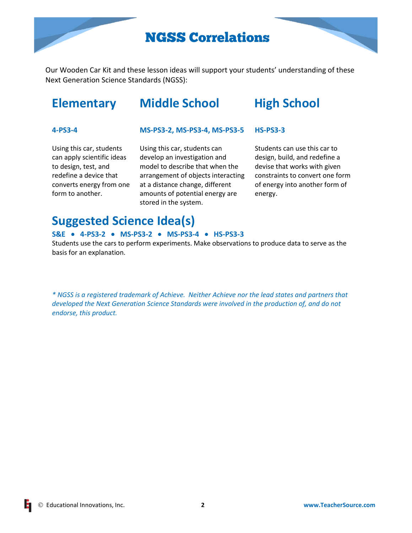## NGSS Correlations

Our Wooden Car Kit and these lesson ideas will support your students' understanding of these Next Generation Science Standards (NGSS):

## **Elementary Middle School High School**

#### **4-PS3-4**

#### **MS-PS3-2, MS-PS3-4, MS-PS3-5 HS-PS3-3**

Using this car, students can apply scientific ideas to design, test, and redefine a device that converts energy from one form to another.

Using this car, students can develop an investigation and model to describe that when the arrangement of objects interacting at a distance change, different amounts of potential energy are stored in the system.

Students can use this car to design, build, and redefine a devise that works with given constraints to convert one form of energy into another form of energy.

## **Suggested Science Idea(s)**

#### **S&E 4-PS3-2 MS-PS3-2 MS-PS3-4 HS-PS3-3**

Students use the cars to perform experiments. Make observations to produce data to serve as the basis for an explanation.

*\* NGSS is a registered trademark of Achieve. Neither Achieve nor the lead states and partners that developed the Next Generation Science Standards were involved in the production of, and do not endorse, this product.*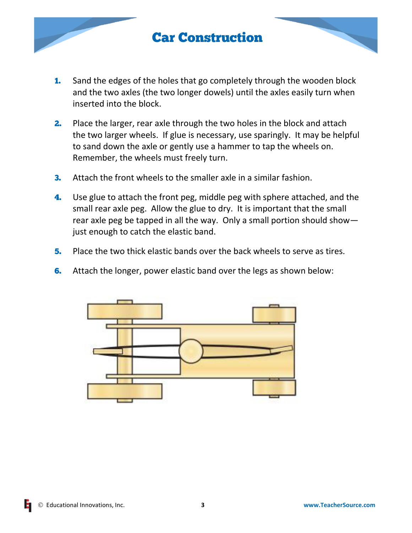## Car Construction

- **1.** Sand the edges of the holes that go completely through the wooden block and the two axles (the two longer dowels) until the axles easily turn when inserted into the block.
- **2.** Place the larger, rear axle through the two holes in the block and attach the two larger wheels. If glue is necessary, use sparingly. It may be helpful to sand down the axle or gently use a hammer to tap the wheels on. Remember, the wheels must freely turn.
- **3.** Attach the front wheels to the smaller axle in a similar fashion.
- 4. Use glue to attach the front peg, middle peg with sphere attached, and the small rear axle peg. Allow the glue to dry. It is important that the small rear axle peg be tapped in all the way. Only a small portion should show just enough to catch the elastic band.
- 5. Place the two thick elastic bands over the back wheels to serve as tires.
- **6.** Attach the longer, power elastic band over the legs as shown below:

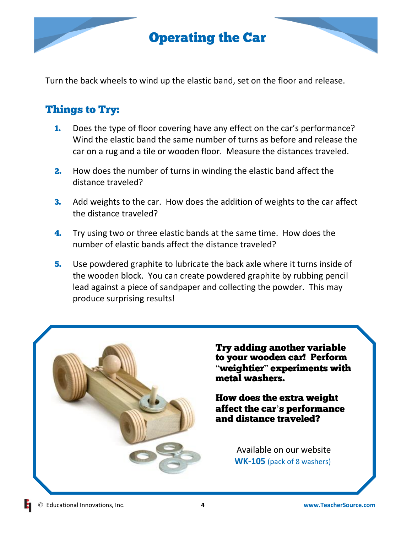## Operating the Car

Turn the back wheels to wind up the elastic band, set on the floor and release.

#### Things to Try:

- 1. Does the type of floor covering have any effect on the car's performance? Wind the elastic band the same number of turns as before and release the car on a rug and a tile or wooden floor. Measure the distances traveled.
- **2.** How does the number of turns in winding the elastic band affect the distance traveled?
- **3.** Add weights to the car. How does the addition of weights to the car affect the distance traveled?
- **4.** Try using two or three elastic bands at the same time. How does the number of elastic bands affect the distance traveled?
- 5. Use powdered graphite to lubricate the back axle where it turns inside of the wooden block. You can create powdered graphite by rubbing pencil lead against a piece of sandpaper and collecting the powder. This may produce surprising results!